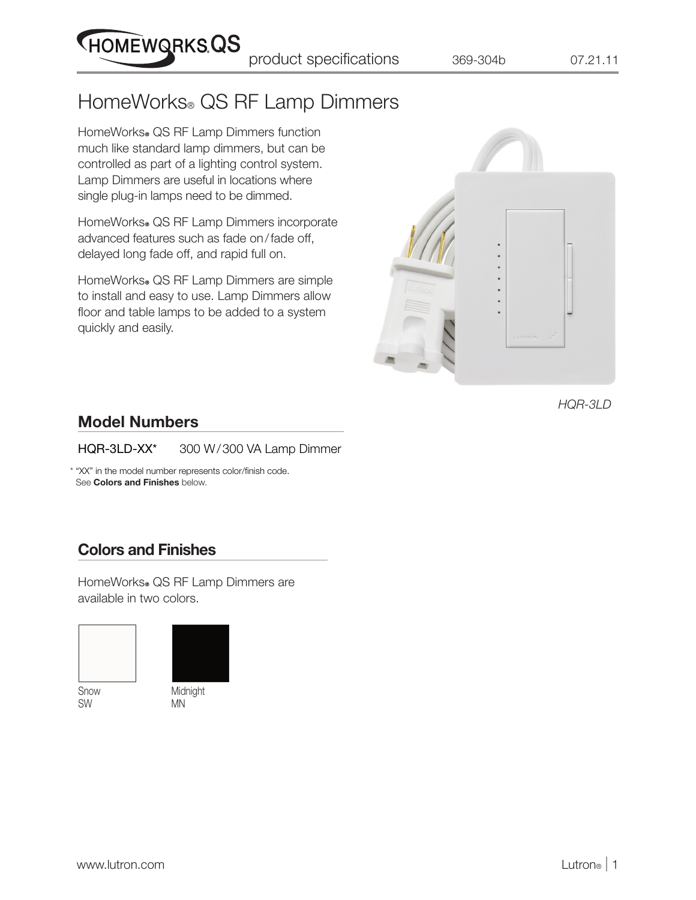product specifications 369-304b 07.21.11

# HomeWorks® QS RF Lamp Dimmers

HomeWorks<sup>®</sup> QS RF Lamp Dimmers function much like standard lamp dimmers, but can be controlled as part of a lighting control system. Lamp Dimmers are useful in locations where single plug-in lamps need to be dimmed.

**HOMEWQRKSQS** 

HomeWorks. QS RF Lamp Dimmers incorporate advanced features such as fade on/fade off, delayed long fade off, and rapid full on.

HomeWorks. QS RF Lamp Dimmers are simple to install and easy to use. Lamp Dimmers allow floor and table lamps to be added to a system quickly and easily.



*HQR-3LD*

#### Model Numbers

HQR-3LD-XX\* 300 W/300 VA Lamp Dimmer

 \* "XX" in the model number represents color/finish code. See Colors and Finishes below.

#### Colors and Finishes

HomeWorks® QS RF Lamp Dimmers are available in two colors.



Snow SW



Midnight MN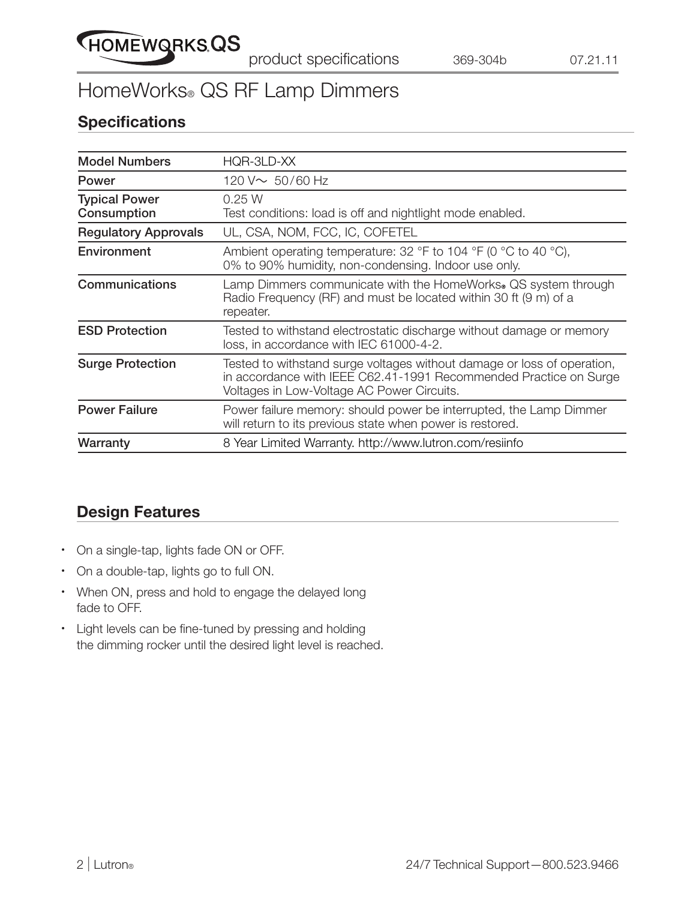

### HomeWorks® QS RF Lamp Dimmers

#### **Specifications**

| HQR-3LD-XX                                                                                                                                                                                 |
|--------------------------------------------------------------------------------------------------------------------------------------------------------------------------------------------|
| 120 V $\sim 50/60$ Hz                                                                                                                                                                      |
| 0.25 W<br>Test conditions: load is off and nightlight mode enabled.                                                                                                                        |
| UL, CSA, NOM, FCC, IC, COFETEL                                                                                                                                                             |
| Ambient operating temperature: 32 °F to 104 °F (0 °C to 40 °C),<br>0% to 90% humidity, non-condensing. Indoor use only.                                                                    |
| Lamp Dimmers communicate with the HomeWorks. QS system through<br>Radio Frequency (RF) and must be located within 30 ft (9 m) of a<br>repeater.                                            |
| Tested to withstand electrostatic discharge without damage or memory<br>loss, in accordance with IEC 61000-4-2.                                                                            |
| Tested to withstand surge voltages without damage or loss of operation,<br>in accordance with IEEE C62.41-1991 Recommended Practice on Surge<br>Voltages in Low-Voltage AC Power Circuits. |
| Power failure memory: should power be interrupted, the Lamp Dimmer<br>will return to its previous state when power is restored.                                                            |
| 8 Year Limited Warranty. http://www.lutron.com/resiinfo                                                                                                                                    |
|                                                                                                                                                                                            |

#### Design Features

- On a single-tap, lights fade ON or OFF.
- On a double-tap, lights go to full ON.
- When ON, press and hold to engage the delayed long fade to OFF.
- Light levels can be fine-tuned by pressing and holding the dimming rocker until the desired light level is reached.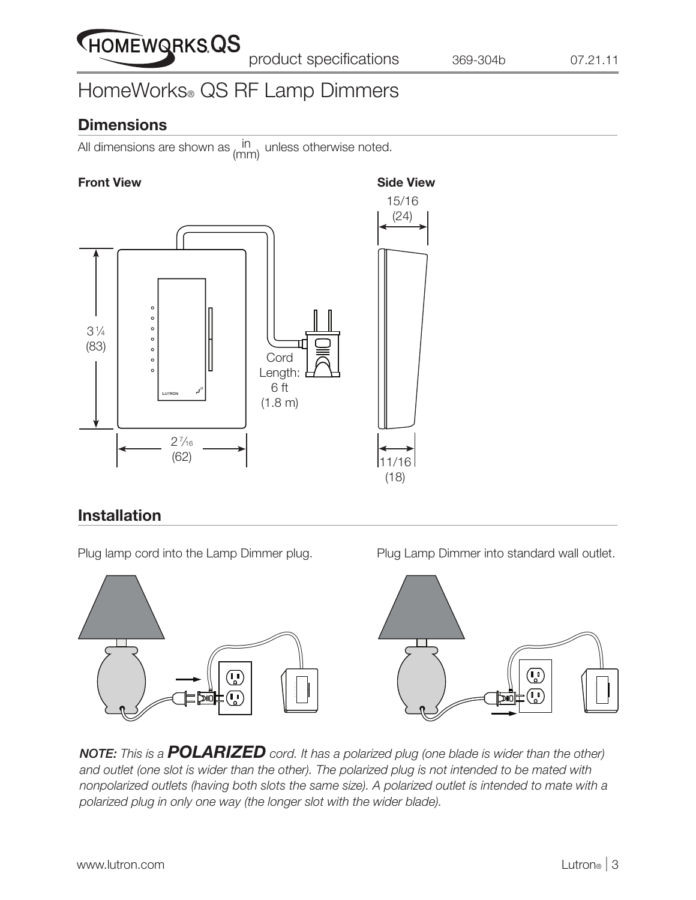

# HomeWorks® QS RF Lamp Dimmers

#### **Dimensions**

All dimensions are shown as  $\lim_{n \to \infty}$  unless otherwise noted. (mm)

#### Front View **Side View** Side View



#### Installation

Plug lamp cord into the Lamp Dimmer plug. Plug Lamp Dimmer into standard wall outlet.



*NOTE: This is a POLARIZED cord. It has a polarized plug (one blade is wider than the other) and outlet (one slot is wider than the other). The polarized plug is not intended to be mated with nonpolarized outlets (having both slots the same size). A polarized outlet is intended to mate with a polarized plug in only one way (the longer slot with the wider blade).*